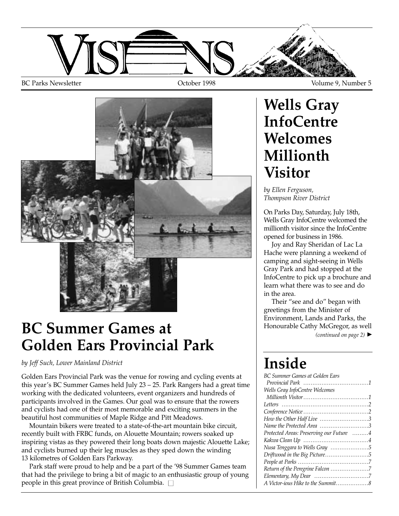



## **BC Summer Games at Golden Ears Provincial Park**

*by Jeff Such, Lower Mainland District*

Golden Ears Provincial Park was the venue for rowing and cycling events at this year's BC Summer Games held July 23 – 25. Park Rangers had a great time working with the dedicated volunteers, event organizers and hundreds of participants involved in the Games. Our goal was to ensure that the rowers and cyclists had one of their most memorable and exciting summers in the beautiful host communities of Maple Ridge and Pitt Meadows.

Mountain bikers were treated to a state-of-the-art mountain bike circuit, recently built with FRBC funds, on Alouette Mountain; rowers soaked up inspiring vistas as they powered their long boats down majestic Alouette Lake; and cyclists burned up their leg muscles as they sped down the winding 13 kilometres of Golden Ears Parkway.

Park staff were proud to help and be a part of the '98 Summer Games team that had the privilege to bring a bit of magic to an enthusiastic group of young people in this great province of British Columbia.  $\square$ 

## **Wells Gray InfoCentre Welcomes Millionth Visitor**

*by Ellen Ferguson, Thompson River District*

On Parks Day, Saturday, July 18th, Wells Gray InfoCentre welcomed the millionth visitor since the InfoCentre opened for business in 1986.

Joy and Ray Sheridan of Lac La Hache were planning a weekend of camping and sight-seeing in Wells Gray Park and had stopped at the InfoCentre to pick up a brochure and learn what there was to see and do in the area.

Their "see and do" began with greetings from the Minister of Environment, Lands and Parks, the Honourable Cathy McGregor, as well *(continued on page 2)* ▲

# **Inside**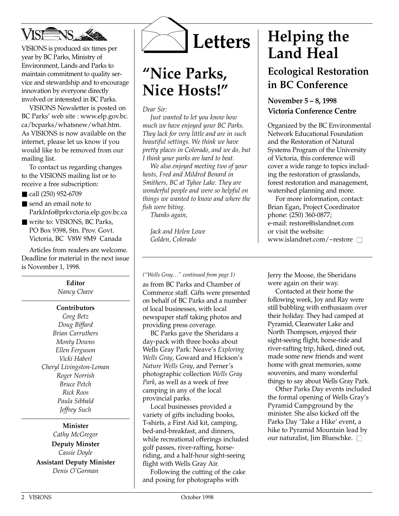

VISIONS is produced six times per year by BC Parks, Ministry of Environment, Lands and Parks to maintain commitment to quality service and stewardship and to encourage innovation by everyone directly involved or interested in BC Parks.

VISIONS Newsletter is posted on BC Parks' web site : www.elp.gov.bc. ca/bcparks/whatsnew/what.htm. As VISIONS is now available on the internet, please let us know if you would like to be removed from our mailing list.

To contact us regarding changes to the VISIONS mailing list or to receive a free subscription:

■ call (250) 952-6709

■ send an email note to ParkInfo@prkvctoria.elp.gov.bc.ca

■ write to: VISIONS, BC Parks, PO Box 9398, Stn. Prov. Govt. Victoria, BC V8W 9M9 Canada

Articles from readers are welcome. Deadline for material in the next issue is November 1, 1998.

> **Editor** *Nancy Chave*

#### **Contributors**

*Greg Betz Doug Biffard Brian Carruthers Monty Downs Ellen Ferguson Vicki Haberl Cheryl Livingston-Leman Roger Norrish Bruce Petch Rick Roos Paula Sibbald Jeffrey Such*

**Minister** *Cathy McGregor* **Deputy Minster** *Cassie Doyle* **Assistant Deputy Minister** *Denis O'Gorman*



### **"Nice Parks, Nice Hosts!"**

#### *Dear Sir:*

*Just wanted to let you know how much we have enjoyed your BC Parks. They lack for very little and are in such beautiful settings. We think we have pretty places in Colorado, and we do, but I think your parks are hard to beat.*

*We also enjoyed meeting two of your hosts, Fred and Mildred Benard in Smithers, BC at Tyhee Lake. They are wonderful people and were so helpful on things we wanted to know and where the fish were biting.* 

*Thanks again,*

*Jack and Helen Lowe Golden, Colorado*

*("Wells Gray…" continued from page 1)*

as from BC Parks and Chamber of Commerce staff. Gifts were presented on behalf of BC Parks and a number of local businesses, with local newspaper staff taking photos and providing press coverage.

BC Parks gave the Sheridans a day-pack with three books about Wells Gray Park: Neave's *Exploring Wells Gray*, Goward and Hickson's *Nature Wells Gray*, and Perner's photographic collection *Wells Gray Park*, as well as a week of free camping in any of the local provincial parks.

Local businesses provided a variety of gifts including books, T-shirts, a First Aid kit, camping, bed-and-breakfast, and dinners, while recreational offerings included golf passes, river-rafting, horseriding, and a half-hour sight-seeing flight with Wells Gray Air.

Following the cutting of the cake and posing for photographs with

## **Helping the Land Heal**

#### **Ecological Restoration in BC Conference**

#### **November 5 – 8, 1998 Victoria Conference Centre**

Organized by the BC Environmental Network Educational Foundation and the Restoration of Natural Systems Program of the University of Victoria, this conference will cover a wide range to topics including the restoration of grasslands, forest restoration and management, watershed planning and more.

For more information, contact: Brian Egan, Project Coordinator phone: (250) 360-0877; e-mail: restore@islandnet.com or visit the website: www.islandnet.com/~restore □

Jerry the Moose, the Sheridans were again on their way.

Contacted at their home the following week, Joy and Ray were still bubbling with enthusiasm over their holiday. They had camped at Pyramid, Clearwater Lake and North Thompson, enjoyed their sight-seeing flight, horse-ride and river-rafting trip, hiked, dined out, made some new friends and went home with great memories, some souvenirs, and many wonderful things to say about Wells Gray Park.

Other Parks Day events included the formal opening of Wells Gray's Pyramid Campground by the minister. She also kicked off the Parks Day 'Take a Hike' event, a hike to Pyramid Mountain lead by our naturalist, Jim Blueschke.  $\square$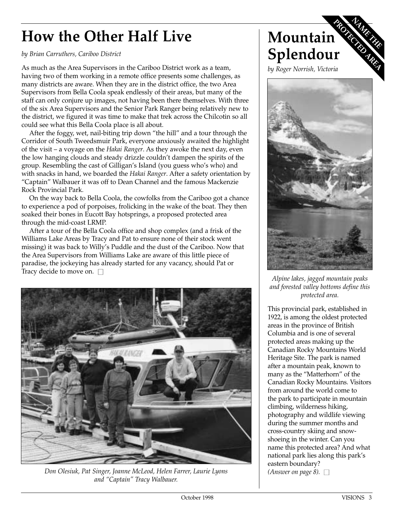# **How the Other Half Live**

*by Brian Carruthers, Cariboo District*

As much as the Area Supervisors in the Cariboo District work as a team, having two of them working in a remote office presents some challenges, as many districts are aware. When they are in the district office, the two Area Supervisors from Bella Coola speak endlessly of their areas, but many of the staff can only conjure up images, not having been there themselves. With three of the six Area Supervisors and the Senior Park Ranger being relatively new to the district, we figured it was time to make that trek across the Chilcotin so all could see what this Bella Coola place is all about.

After the foggy, wet, nail-biting trip down "the hill" and a tour through the Corridor of South Tweedsmuir Park, everyone anxiously awaited the highlight of the visit – a voyage on the *Hakai Ranger*. As they awoke the next day, even the low hanging clouds and steady drizzle couldn't dampen the spirits of the group. Resembling the cast of Gilligan's Island (you guess who's who) and with snacks in hand, we boarded the *Hakai Ranger*. After a safety orientation by "Captain" Walbauer it was off to Dean Channel and the famous Mackenzie Rock Provincial Park.

On the way back to Bella Coola, the cowfolks from the Cariboo got a chance to experience a pod of porpoises, frolicking in the wake of the boat. They then soaked their bones in Eucott Bay hotsprings, a proposed protected area through the mid-coast LRMP.

After a tour of the Bella Coola office and shop complex (and a frisk of the Williams Lake Areas by Tracy and Pat to ensure none of their stock went missing) it was back to Willy's Puddle and the dust of the Cariboo. Now that the Area Supervisors from Williams Lake are aware of this little piece of paradise, the jockeying has already started for any vacancy, should Pat or Tracy decide to move on.  $\square$ 



*Don Olesiuk, Pat Singer, Joanne McLeod, Helen Farrer, Laurie Lyons and "Captain" Tracy Walbauer.*





*Alpine lakes, jagged mountain peaks and forested valley bottoms define this protected area.*

This provincial park, established in 1922, is among the oldest protected areas in the province of British Columbia and is one of several protected areas making up the Canadian Rocky Mountains World Heritage Site. The park is named after a mountain peak, known to many as the "Matterhorn" of the Canadian Rocky Mountains. Visitors from around the world come to the park to participate in mountain climbing, wilderness hiking, photography and wildlife viewing during the summer months and cross-country skiing and snowshoeing in the winter. Can you name this protected area? And what national park lies along this park's eastern boundary? *(Answer on page 8).*  $\square$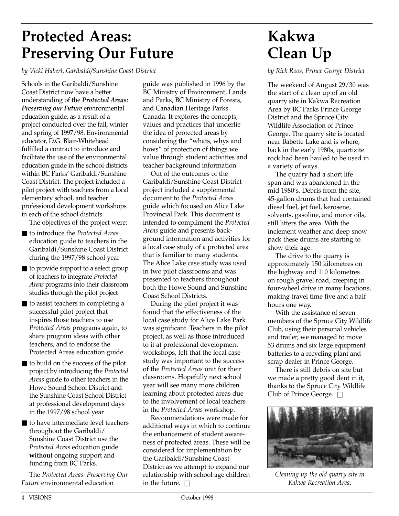## **Protected Areas: Preserving Our Future**

*by Vicki Haberl, Garibaldi/Sunshine Coast District*

Schools in the Garibaldi/Sunshine Coast District now have a better understanding of the *Protected Areas: Preserving our Future* environmental education guide, as a result of a project conducted over the fall, winter and spring of 1997/98. Environmental educator, D.G. Blair-Whitehead fulfilled a contract to introduce and facilitate the use of the environmental education guide in the school districts within BC Parks' Garibaldi/Sunshine Coast District. The project included a pilot project with teachers from a local elementary school, and teacher professional development workshops in each of the school districts.

The objectives of the project were:

- to introduce the *Protected Areas* education guide to teachers in the Garibaldi/Sunshine Coast District during the 1997/98 school year
- to provide support to a select group of teachers to integrate *Protected Areas* programs into their classroom studies through the pilot project
- to assist teachers in completing a successful pilot project that inspires those teachers to use *Protected Areas* programs again, to share program ideas with other teachers, and to endorse the Protected Areas education guide
- to build on the success of the pilot project by introducing the *Protected Areas* guide to other teachers in the Howe Sound School District and the Sunshine Coast School District at professional development days in the 1997/98 school year
- to have intermediate level teachers throughout the Garibaldi/ Sunshine Coast District use the *Protected Areas* education guide **without** ongoing support and funding from BC Parks.

The *Protected Areas: Preserving Our Future* environmental education

guide was published in 1996 by the BC Ministry of Environment, Lands and Parks, BC Ministry of Forests, and Canadian Heritage Parks Canada. It explores the concepts, values and practices that underlie the idea of protected areas by considering the "whats, whys and hows" of protection of things we value through student activities and teacher background information.

Out of the outcomes of the Garibaldi/Sunshine Coast District project included a supplemental document to the *Protected Areas* guide which focused on Alice Lake Provincial Park. This document is intended to compliment the *Protected Areas* guide and presents background information and activities for a local case study of a protected area that is familiar to many students. The Alice Lake case study was used in two pilot classrooms and was presented to teachers throughout both the Howe Sound and Sunshine Coast School Districts.

During the pilot project it was found that the effectiveness of the local case study for Alice Lake Park was significant. Teachers in the pilot project, as well as those introduced to it at professional development workshops, felt that the local case study was important to the success of the *Protected Areas* unit for their classrooms. Hopefully next school year will see many more children learning about protected areas due to the involvement of local teachers in the *Protected Areas* workshop.

Recommendations were made for additional ways in which to continue the enhancement of student awareness of protected areas. These will be considered for implementation by the Garibaldi/Sunshine Coast District as we attempt to expand our relationship with school age children in the future.  $\square$ 

## **Kakwa Clean Up**

*by Rick Roos, Prince George District*

The weekend of August 29/30 was the start of a clean up of an old quarry site in Kakwa Recreation Area by BC Parks Prince George District and the Spruce City Wildlife Association of Prince George. The quarry site is located near Babette Lake and is where, back in the early 1980s, quartizite rock had been hauled to be used in a variety of ways.

The quarry had a short life span and was abandoned in the mid 1980's. Debris from the site, 45-gallon drums that had contained diesel fuel, jet fuel, kerosene, solvents, gasoline, and motor oils, still litters the area. With the inclement weather and deep snow pack these drums are starting to show their age.

The drive to the quarry is approximately 150 kilometres on the highway and 110 kilometres on rough gravel road, creeping in four-wheel drive in many locations, making travel time five and a half hours one way.

With the assistance of seven members of the Spruce City Wildlife Club, using their personal vehicles and trailer, we managed to move 53 drums and six large equipment batteries to a recycling plant and scrap dealer in Prince George.

There is still debris on site but we made a pretty good dent in it, thanks to the Spruce City Wildlife Club of Prince George.  $\square$ 



*Cleaning up the old quarry site in Kakwa Recreation Area.*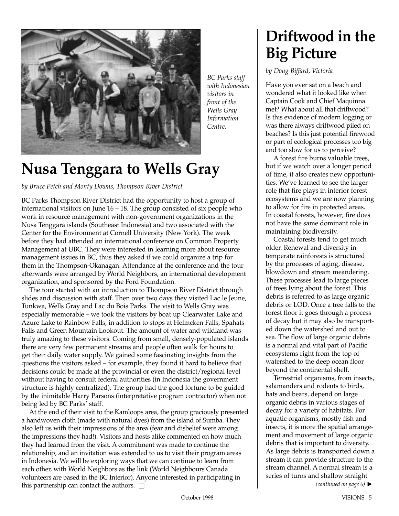

*BC Parks staff with Indonesian visitors in front of the Wells Gray Information Centre.*

## **Nusa Tenggara to Wells Gray**

*by Bruce Petch and Monty Downs, Thompson River District*

BC Parks Thompson River District had the opportunity to host a group of international visitors on June 16 – 18. The group consisted of six people who work in resource management with non-government organizations in the Nusa Tenggara islands (Southeast Indonesia) and two associated with the Center for the Environment at Cornell University (New York). The week before they had attended an international conference on Common Property Management at UBC. They were interested in learning more about resource management issues in BC, thus they asked if we could organize a trip for them in the Thompson-Okanagan. Attendance at the conference and the tour afterwards were arranged by World Neighbors, an international development organization, and sponsored by the Ford Foundation.

The tour started with an introduction to Thompson River District through slides and discussion with staff. Then over two days they visited Lac le Jeune, Tunkwa, Wells Gray and Lac du Bois Parks. The visit to Wells Gray was especially memorable – we took the visitors by boat up Clearwater Lake and Azure Lake to Rainbow Falls, in addition to stops at Helmcken Falls, Spahats Falls and Green Mountain Lookout. The amount of water and wildland was truly amazing to these visitors. Coming from small, densely-populated islands there are very few permanent streams and people often walk for hours to get their daily water supply. We gained some fascinating insights from the questions the visitors asked – for example, they found it hard to believe that decisions could be made at the provincial or even the district/regional level without having to consult federal authorities (in Indonesia the government structure is highly centralized). The group had the good fortune to be guided by the inimitable Harry Parsons (interpretative program contractor) when not being led by BC Parks' staff.

At the end of their visit to the Kamloops area, the group graciously presented a handwoven cloth (made with natural dyes) from the island of Sumba. They also left us with their impressions of the area (fear and disbelief were among the impressions they had!). Visitors and hosts alike commented on how much they had learned from the visit. A commitment was made to continue the relationship, and an invitation was extended to us to visit their program areas in Indonesia. We will be exploring ways that we can continue to learn from each other, with World Neighbors as the link (World Neighbours Canada volunteers are based in the BC Interior). Anyone interested in participating in this partnership can contact the authors.  $\Box$ 

## **Driftwood in the Big Picture**

*by Doug Biffard, Victoria*

Have you ever sat on a beach and wondered what it looked like when Captain Cook and Chief Maquinna met? What about all that driftwood? Is this evidence of modern logging or was there always driftwood piled on beaches? Is this just potential firewood or part of ecological processes too big and too slow for us to perceive?

A forest fire burns valuable trees, but if we watch over a longer period of time, it also creates new opportunities. We've learned to see the larger role that fire plays in interior forest ecosystems and we are now planning to allow for fire in protected areas. In coastal forests, however, fire does not have the same dominant role in maintaining biodiversity.

Coastal forests tend to get much older. Renewal and diversity in temperate rainforests is structured by the processes of aging, disease, blowdown and stream meandering. These processes lead to large pieces of trees lying about the forest. This debris is referred to as large organic debris or LOD. Once a tree falls to the forest floor it goes through a process of decay but it may also be transported down the watershed and out to sea. The flow of large organic debris is a normal and vital part of Pacific ecosystems right from the top of watershed to the deep ocean floor beyond the continental shelf.

Terrestrial organisms, from insects, salamanders and rodents to birds, bats and bears, depend on large organic debris in various stages of decay for a variety of habitats. For aquatic organisms, mostly fish and insects, it is more the spatial arrangement and movement of large organic debris that is important to diversity. As large debris is transported down a stream it can provide structure to the stream channel. A normal stream is a series of turns and shallow straight

*(continued on page 6)* ▲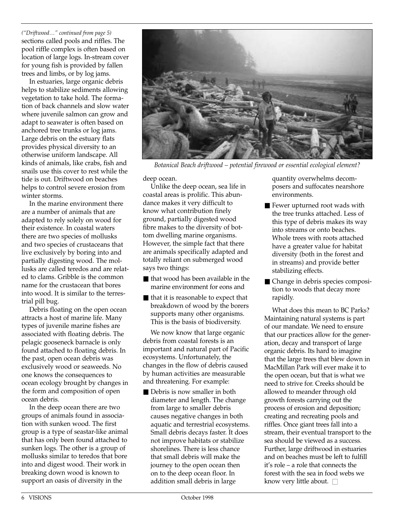*("Driftwood…" continued from page 5)* sections called pools and riffles. The pool riffle complex is often based on location of large logs. In-stream cover for young fish is provided by fallen trees and limbs, or by log jams.

In estuaries, large organic debris helps to stabilize sediments allowing vegetation to take hold. The formation of back channels and slow water where juvenile salmon can grow and adapt to seawater is often based on anchored tree trunks or log jams. Large debris on the estuary flats provides physical diversity to an otherwise uniform landscape. All kinds of animals, like crabs, fish and snails use this cover to rest while the tide is out. Driftwood on beaches helps to control severe erosion from winter storms.

In the marine environment there are a number of animals that are adapted to rely solely on wood for their existence. In coastal waters there are two species of mollusks and two species of crustaceans that live exclusively by boring into and partially digesting wood. The mollusks are called teredos and are related to clams. Gribble is the common name for the crustacean that bores into wood. It is similar to the terrestrial pill bug.

Debris floating on the open ocean attracts a host of marine life. Many types of juvenile marine fishes are associated with floating debris. The pelagic gooseneck barnacle is only found attached to floating debris. In the past, open ocean debris was exclusively wood or seaweeds. No one knows the consequences to ocean ecology brought by changes in the form and composition of open ocean debris.

In the deep ocean there are two groups of animals found in association with sunken wood. The first group is a type of seastar-like animal that has only been found attached to sunken logs. The other is a group of mollusks similar to teredos that bore into and digest wood. Their work in breaking down wood is known to support an oasis of diversity in the



*Botanical Beach driftwood – potential firewood or essential ecological element?*

deep ocean.

Unlike the deep ocean, sea life in coastal areas is prolific. This abundance makes it very difficult to know what contribution finely ground, partially digested wood fibre makes to the diversity of bottom dwelling marine organisms. However, the simple fact that there are animals specifically adapted and totally reliant on submerged wood says two things:

- that wood has been available in the marine environment for eons and
- that it is reasonable to expect that breakdown of wood by the borers supports many other organisms. This is the basis of biodiversity.

We now know that large organic debris from coastal forests is an important and natural part of Pacific ecosystems. Unfortunately, the changes in the flow of debris caused by human activities are measurable and threatening. For example:

■ Debris is now smaller in both diameter and length. The change from large to smaller debris causes negative changes in both aquatic and terrestrial ecosystems. Small debris decays faster. It does not improve habitats or stabilize shorelines. There is less chance that small debris will make the journey to the open ocean then on to the deep ocean floor. In addition small debris in large

quantity overwhelms decomposers and suffocates nearshore environments.

- Fewer upturned root wads with the tree trunks attached. Less of this type of debris makes its way into streams or onto beaches. Whole trees with roots attached have a greater value for habitat diversity (both in the forest and in streams) and provide better stabilizing effects.
- Change in debris species composition to woods that decay more rapidly.

What does this mean to BC Parks? Maintaining natural systems is part of our mandate. We need to ensure that our practices allow for the generation, decay and transport of large organic debris. Its hard to imagine that the large trees that blew down in MacMillan Park will ever make it to the open ocean, but that is what we need to strive for. Creeks should be allowed to meander through old growth forests carrying out the process of erosion and deposition; creating and recreating pools and riffles. Once giant trees fall into a stream, their eventual transport to the sea should be viewed as a success. Further, large driftwood in estuaries and on beaches must be left to fulfill it's role – a role that connects the forest with the sea in food webs we know very little about.  $\square$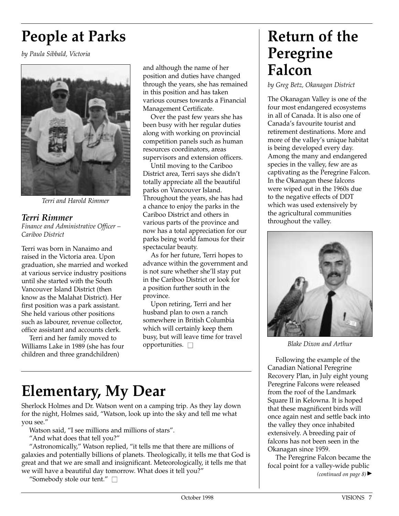# **People at Parks**

*by Paula Sibbald, Victoria*



*Terri and Harold Rimmer*

#### *Terri Rimmer Finance and Administrative Officer – Cariboo District*

Terri was born in Nanaimo and raised in the Victoria area. Upon graduation, she married and worked at various service industry positions until she started with the South Vancouver Island District (then know as the Malahat District). Her first position was a park assistant. She held various other positions such as labourer, revenue collector, office assistant and accounts clerk.

Terri and her family moved to Williams Lake in 1989 (she has four children and three grandchildren)

and although the name of her position and duties have changed through the years, she has remained in this position and has taken various courses towards a Financial Management Certificate.

Over the past few years she has been busy with her regular duties along with working on provincial competition panels such as human resources coordinators, areas supervisors and extension officers.

Until moving to the Cariboo District area, Terri says she didn't totally appreciate all the beautiful parks on Vancouver Island. Throughout the years, she has had a chance to enjoy the parks in the Cariboo District and others in various parts of the province and now has a total appreciation for our parks being world famous for their spectacular beauty.

As for her future, Terri hopes to advance within the government and is not sure whether she'll stay put in the Cariboo District or look for a position further south in the province.

Upon retiring, Terri and her husband plan to own a ranch somewhere in British Columbia which will certainly keep them busy, but will leave time for travel opportunities.  $\square$ 

## **Elementary, My Dear**

Sherlock Holmes and Dr. Watson went on a camping trip. As they lay down for the night, Holmes said, "Watson, look up into the sky and tell me what you see."

Watson said, "I see millions and millions of stars".

"And what does that tell you?"

"Astronomically," Watson replied, "it tells me that there are millions of galaxies and potentially billions of planets. Theologically, it tells me that God is great and that we are small and insignificant. Meteorologically, it tells me that we will have a beautiful day tomorrow. What does it tell you?"

"Somebody stole our tent."  $\square$ 

## **Return of the Peregrine Falcon**

*by Greg Betz, Okanagan District*

The Okanagan Valley is one of the four most endangered ecosystems in all of Canada. It is also one of Canada's favourite tourist and retirement destinations. More and more of the valley's unique habitat is being developed every day. Among the many and endangered species in the valley, few are as captivating as the Peregrine Falcon. In the Okanagan these falcons were wiped out in the 1960s due to the negative effects of DDT which was used extensively by the agricultural communities throughout the valley.



*Blake Dixon and Arthur*

Following the example of the Canadian National Peregrine Recovery Plan, in July eight young Peregrine Falcons were released from the roof of the Landmark Square II in Kelowna. It is hoped that these magnificent birds will once again nest and settle back into the valley they once inhabited extensively. A breeding pair of falcons has not been seen in the Okanagan since 1959.

The Peregrine Falcon became the focal point for a valley-wide public *(continued on page 8)* ▲